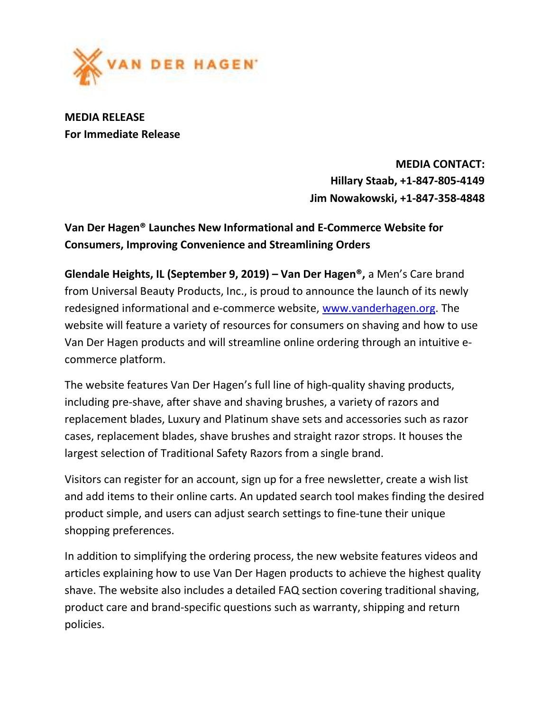

MEDIA RELEASE For Immediate Release

> MEDIA CONTACT: Hillary Staab, +1-847-805-4149 Jim Nowakowski, +1-847-358-4848

## Van Der Hagen® Launches New Informational and E-Commerce Website for Consumers, Improving Convenience and Streamlining Orders

Glendale Heights, IL (September 9, 2019) – Van Der Hagen®, a Men's Care brand from Universal Beauty Products, Inc., is proud to announce the launch of its newly redesigned informational and e-commerce website, www.vanderhagen.org. The website will feature a variety of resources for consumers on shaving and how to use Van Der Hagen products and will streamline online ordering through an intuitive ecommerce platform.

The website features Van Der Hagen's full line of high-quality shaving products, including pre-shave, after shave and shaving brushes, a variety of razors and replacement blades, Luxury and Platinum shave sets and accessories such as razor cases, replacement blades, shave brushes and straight razor strops. It houses the largest selection of Traditional Safety Razors from a single brand.

Visitors can register for an account, sign up for a free newsletter, create a wish list and add items to their online carts. An updated search tool makes finding the desired product simple, and users can adjust search settings to fine-tune their unique shopping preferences.

In addition to simplifying the ordering process, the new website features videos and articles explaining how to use Van Der Hagen products to achieve the highest quality shave. The website also includes a detailed FAQ section covering traditional shaving, product care and brand-specific questions such as warranty, shipping and return policies.